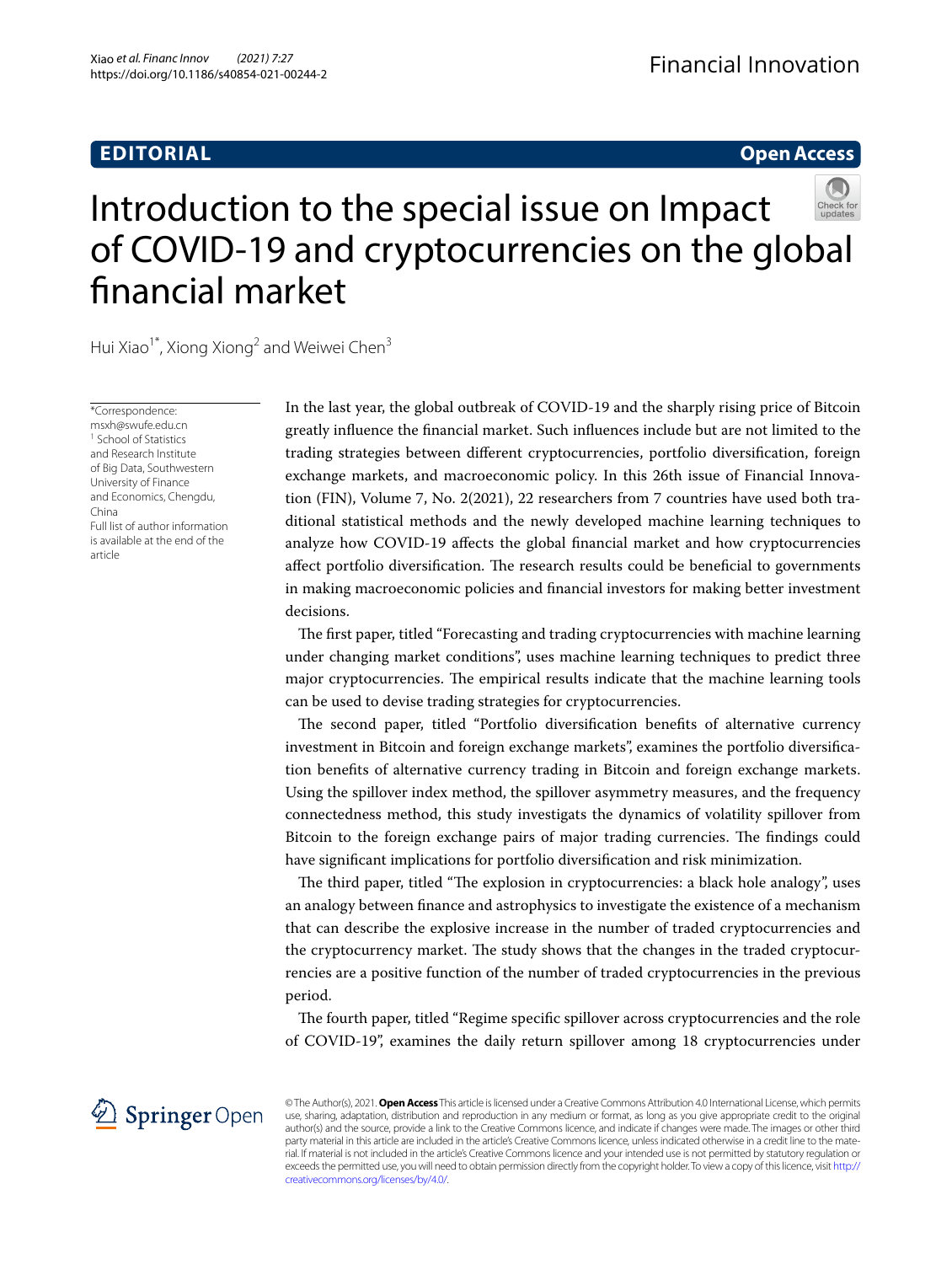# **EDITORIAL**

## **Open Access**

# Introduction to the special issue on Impact of COVID‑19 and cryptocurrencies on the global fnancial market

Hui Xiao<sup>1\*</sup>, Xiong Xiong<sup>2</sup> and Weiwei Chen<sup>3</sup>

\*Correspondence: msxh@swufe.edu.cn <sup>1</sup> School of Statistics and Research Institute of Big Data, Southwestern University of Finance and Economics, Chengdu, China Full list of author information is available at the end of the article

In the last year, the global outbreak of COVID-19 and the sharply rising price of Bitcoin greatly infuence the fnancial market. Such infuences include but are not limited to the trading strategies between diferent cryptocurrencies, portfolio diversifcation, foreign exchange markets, and macroeconomic policy. In this 26th issue of Financial Innovation (FIN), Volume 7, No. 2(2021), 22 researchers from 7 countries have used both traditional statistical methods and the newly developed machine learning techniques to analyze how COVID-19 afects the global fnancial market and how cryptocurrencies affect portfolio diversification. The research results could be beneficial to governments in making macroeconomic policies and fnancial investors for making better investment decisions.

The first paper, titled "Forecasting and trading cryptocurrencies with machine learning under changing market conditions", uses machine learning techniques to predict three major cryptocurrencies. The empirical results indicate that the machine learning tools can be used to devise trading strategies for cryptocurrencies.

The second paper, titled "Portfolio diversification benefits of alternative currency investment in Bitcoin and foreign exchange markets", examines the portfolio diversifcation benefts of alternative currency trading in Bitcoin and foreign exchange markets. Using the spillover index method, the spillover asymmetry measures, and the frequency connectedness method, this study investigats the dynamics of volatility spillover from Bitcoin to the foreign exchange pairs of major trading currencies. The findings could have signifcant implications for portfolio diversifcation and risk minimization.

The third paper, titled "The explosion in cryptocurrencies: a black hole analogy", uses an analogy between fnance and astrophysics to investigate the existence of a mechanism that can describe the explosive increase in the number of traded cryptocurrencies and the cryptocurrency market. The study shows that the changes in the traded cryptocurrencies are a positive function of the number of traded cryptocurrencies in the previous period.

The fourth paper, titled "Regime specific spillover across cryptocurrencies and the role of COVID-19", examines the daily return spillover among 18 cryptocurrencies under



© The Author(s), 2021. **Open Access** This article is licensed under a Creative Commons Attribution 4.0 International License, which permits use, sharing, adaptation, distribution and reproduction in any medium or format, as long as you give appropriate credit to the original author(s) and the source, provide a link to the Creative Commons licence, and indicate if changes were made. The images or other third party material in this article are included in the article's Creative Commons licence, unless indicated otherwise in a credit line to the material. If material is not included in the article's Creative Commons licence and your intended use is not permitted by statutory regulation or exceeds the permitted use, you will need to obtain permission directly from the copyright holder. To view a copy of this licence, visit [http://](http://creativecommons.org/licenses/by/4.0/) [creativecommons.org/licenses/by/4.0/.](http://creativecommons.org/licenses/by/4.0/)